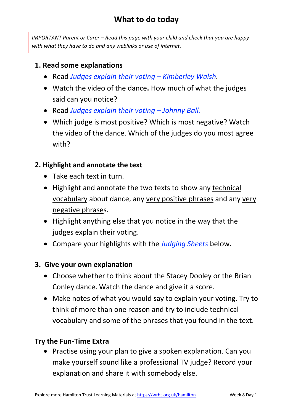## **What to do today**

*IMPORTANT Parent or Carer – Read this page with your child and check that you are happy with what they have to do and any weblinks or use of internet.* 

### **1. Read some explanations**

- Read *Judges explain their voting – Kimberley Walsh.*
- Watch the video of the dance**.** How much of what the judges said can you notice?
- Read *Judges explain their voting – Johnny Ball.*
- Which judge is most positive? Which is most negative? Watch the video of the dance. Which of the judges do you most agree with?

### **2. Highlight and annotate the text**

- Take each text in turn.
- Highlight and annotate the two texts to show any technical vocabulary about dance, any very positive phrases and any very negative phrases.
- Highlight anything else that you notice in the way that the judges explain their voting.
- Compare your highlights with the *Judging Sheets* below.

### **3. Give your own explanation**

- Choose whether to think about the Stacey Dooley or the Brian Conley dance. Watch the dance and give it a score.
- Make notes of what you would say to explain your voting. Try to think of more than one reason and try to include technical vocabulary and some of the phrases that you found in the text.

### **Try the Fun-Time Extra**

• Practise using your plan to give a spoken explanation. Can you make yourself sound like a professional TV judge? Record your explanation and share it with somebody else.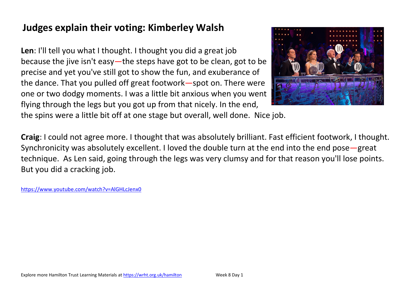# **Judges explain their voting: Kimberley Walsh**

**Len**: I'll tell you what I thought. I thought you did a great job because the jive isn't easy—the steps have got to be clean, got to be precise and yet you've still got to show the fun, and exuberance of the dance. That you pulled off great footwork—spot on. There were one or two dodgy moments. I was a little bit anxious when you went flying through the legs but you got up from that nicely. In the end,



the spins were a little bit off at one stage but overall, well done. Nice job.

**Craig**: I could not agree more. I thought that was absolutely brilliant. Fast efficient footwork, I thought. Synchronicity was absolutely excellent. I loved the double turn at the end into the end pose—great technique. As Len said, going through the legs was very clumsy and for that reason you'll lose points. But you did a cracking job.

<https://www.youtube.com/watch?v=AlGHLcJenx0>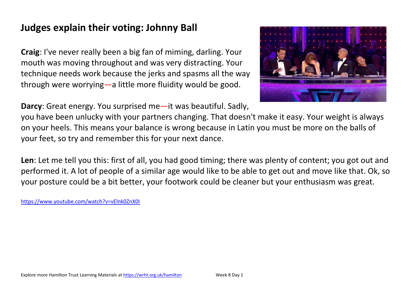# **Judges explain their voting: Johnny Ball**

**Craig**: I've never really been a big fan of miming, darling. Your mouth was moving throughout and was very distracting. Your technique needs work because the jerks and spasms all the way through were worrying—a little more fluidity would be good.

**Darcy**: Great energy. You surprised me—it was beautiful. Sadly,



you have been unlucky with your partners changing. That doesn't make it easy. Your weight is always on your heels. This means your balance is wrong because in Latin you must be more on the balls of your feet, so try and remember this for your next dance.

**Len**: Let me tell you this: first of all, you had good timing; there was plenty of content; you got out and performed it. A lot of people of a similar age would like to be able to get out and move like that. Ok, so your posture could be a bit better, your footwork could be cleaner but your enthusiasm was great.

<https://www.youtube.com/watch?v=vElnk0ZnX0I>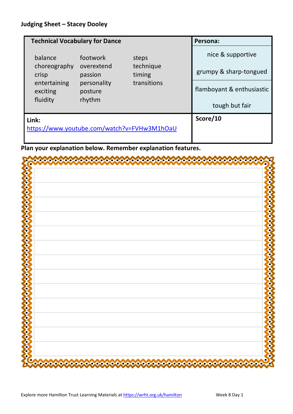| <b>Technical Vocabulary for Dance</b>       |                        |                     | Persona:                  |
|---------------------------------------------|------------------------|---------------------|---------------------------|
| balance                                     | footwork               | steps               | nice & supportive         |
| choreography<br>crisp                       | overextend<br>passion  | technique<br>timing | grumpy & sharp-tongued    |
| entertaining<br>exciting                    | personality<br>posture | transitions         | flamboyant & enthusiastic |
| fluidity                                    | rhythm                 |                     | tough but fair            |
| Link:                                       |                        |                     | Score/10                  |
| https://www.youtube.com/watch?v=FVHw3M1hOaU |                        |                     |                           |
|                                             |                        |                     |                           |

**Plan your explanation below. Remember explanation features.**

| o<br>a                                                                                                                                          | n                               |
|-------------------------------------------------------------------------------------------------------------------------------------------------|---------------------------------|
|                                                                                                                                                 |                                 |
|                                                                                                                                                 |                                 |
|                                                                                                                                                 |                                 |
|                                                                                                                                                 |                                 |
| $\boldsymbol{\mathcal{S}}$                                                                                                                      |                                 |
|                                                                                                                                                 |                                 |
| <b>CONSOR</b>                                                                                                                                   |                                 |
|                                                                                                                                                 |                                 |
|                                                                                                                                                 |                                 |
| ð                                                                                                                                               |                                 |
|                                                                                                                                                 |                                 |
| $\boldsymbol{\hat{\mathbf{z}}}$                                                                                                                 |                                 |
|                                                                                                                                                 |                                 |
| $\boldsymbol{\hat{\zeta}}$                                                                                                                      |                                 |
|                                                                                                                                                 |                                 |
|                                                                                                                                                 |                                 |
| $\boldsymbol{\hat{\xi}}$                                                                                                                        |                                 |
| $\bm{\mathcal{S}}$                                                                                                                              |                                 |
|                                                                                                                                                 |                                 |
| ♦<br>δ                                                                                                                                          |                                 |
|                                                                                                                                                 |                                 |
| $\boldsymbol{\mathcal{S}}$                                                                                                                      |                                 |
| ♦                                                                                                                                               |                                 |
| 8                                                                                                                                               |                                 |
|                                                                                                                                                 |                                 |
| $\boldsymbol{\delta}$                                                                                                                           |                                 |
|                                                                                                                                                 |                                 |
| $\boldsymbol{\hat{\mathbf{x}}}$                                                                                                                 |                                 |
|                                                                                                                                                 |                                 |
| O<br>♦                                                                                                                                          |                                 |
|                                                                                                                                                 |                                 |
| Č.,                                                                                                                                             |                                 |
| o                                                                                                                                               |                                 |
| ٠                                                                                                                                               | о                               |
| $\bullet$<br>o<br>oo.<br>∞о<br>00<br>≁ою<br>ОО<br>6.6<br>Ю<br>$\bullet$<br>œ<br>-0<br>-0<br>oю<br>охо<br>o<br>o<br>o<br>o<br>o.o<br>o<br>o<br>o | б<br>o<br>o<br>o<br>o<br>o<br>o |